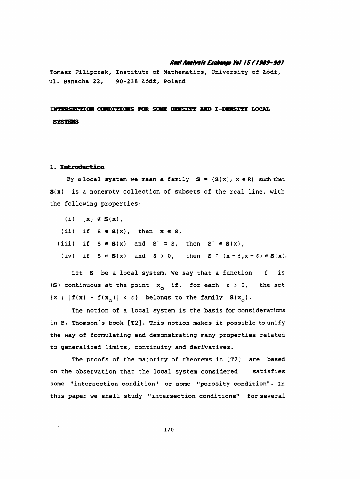#### Real Analysis Exchange Vol 15 (1989-90)

 Tomasz Filipczak, Institute of Mathematics, University of Łódź, ul. Banacha 22, 90-238 Łódź, Poland

INTERSECTION CONDITIONS FOR SOME DENSITY AND I-DENSITY LOCAL **SYSTEMS** 

### 1. Introduction

By a local system we mean a family  $S = {S(x); x \in R}$  such that  $S(x)$  is a nonempty collection of subsets of the real line, with the following properties:

(i)  $\{x\} \notin S(x)$ ,

(ii) if  $S \in S(x)$ , then  $x \in S$ ,

(iii) if  $S \in S(x)$  and  $S' \supset S$ , then  $S' \in S(x)$ ,

(iv) if  $S \in S(x)$  and  $\delta > 0$ , then  $S \cap (x - \delta, x + \delta) \in S(x)$ .

Let S be a local system. We say that a function f is (S)-continuous at the point  $x_{\text{o}}$  if, for each  $\varepsilon > 0$ , the set  $\{x : |f(x) - f(x_0)| < \varepsilon\}$  belongs to the family  $S(x_0)$ .

 The notion of a local system is the basis for considerations in B. Thomson's book [T2]. This notion makes it possible to unify the way of formulating and demonstrating many properties related to generalized limits, continuity and derivatives.

 The proofs of the majority of theorems in [T2] are based on the observation that the local system considered satisfies some "intersection condition" or some "porosity condition". In this paper we shall study "intersection conditions" for several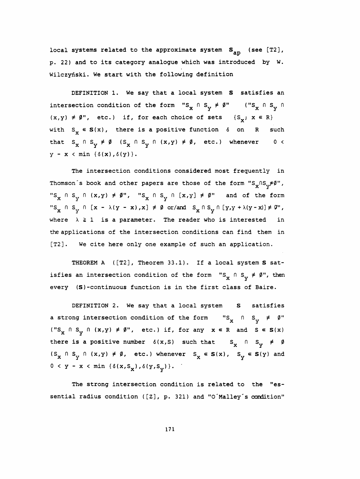local systems related to the approximate system  $\mathtt{s}_{\mathtt{ap}}$  (see [T2], p. 22) and to its category analogue which was introduced by W. Wilczyński. We start with the following definition

DEFINITION 1. We say that a local system S satisfies an intersection condition of the form "S<sub>x</sub>  $\cap$  S<sub>v</sub>  $\neq$   $\emptyset$ " ("S<sub>x</sub>  $\cap$  S<sub>v</sub>  $\cap$  $x \stackrel{\wedge}{\longrightarrow} S_y \neq \emptyset$ " (" $S_x \stackrel{\wedge}{\longrightarrow} S_y$  $(x,y) \neq \emptyset$ ", etc.) if, for each choice of sets  $\{S_x; x \in R\}$ with  $S_x \in S(x)$ , there is a positive function  $\delta$  on R such that  $S_x \cap S_y \neq \emptyset$  ( $S_x \cap S_y \cap (x,y) \neq \emptyset$ , etc.) whenever 0 <  $y - x < min \{ \delta(x), \delta(y) \}.$ 

 The intersection conditions considered most frequently in Thomson´s book and other papers are those of the form "S $_\textbf{x}$ NS $_\textbf{y}^{\neq\emptyset}$ ", Thomson's book and other papers are those of the form " $S_x \n S_y \neq \emptyset$ ",<br>" $S_x \n S_y \n S_y \n (x,y) \neq \emptyset$ ", " $S_x \n S_y \n S_y \n (x,y) \neq \emptyset$ " and of the form<br>" $S_x \n S_y \n S_y \n (x - \lambda(y - x), x] \neq \emptyset$  or/and  $S_x \n S_y \n (y, y + \lambda(y - x)) \neq \emptyset$ ",<br>where  $\$ "S<sub>x</sub>  $\cap$  S<sub>y</sub>  $\cap$  [x -  $\lambda$ (y - x), x]  $\neq$   $\emptyset$  or/and  $S_x \cap S_y \cap [y, y + \lambda(y - x)] \neq \emptyset$ ", where  $\lambda \geq 1$  is a parameter. The reader who is interested in the applications of the intersection conditions can find them in [T2]. We cite here only one example of such an application.

THEOREM A ([T2], Theorem 33.1). If a local system S satisfies an intersection condition of the form  $"{\tt S}_{\tt X} \;\cap\; {\tt S}_{\tt Y} \neq \emptyset"$ , then every (S) -continuous function is in the first class of Baire.

DEFINITION 2. We say that a local system S satisfies a strong intersection condition of the form  ${}^{\mathsf{w}}\mathsf{s}_{\mathsf{x}}$   $\cap$   ${}^{\mathsf{w}}\mathsf{s}_{\mathsf{y}}$   $\neq$   $\emptyset$ "  $("S<sub>X</sub> \cap S<sub>y</sub> \cap (x,y) \neq \emptyset",$  etc.) if, for any  $x \in R$  and  $S \in S(x)$ there is a positive number  $\delta(x, S)$  such that  $S_x$   $\cap$   $S_y$   $\neq$   $\emptyset$  $(S_{\chi} \cap S_{\chi} \cap (x,y) \neq \emptyset$ , etc.) whenever  $S_{\chi} \in S(x)$ ,  $S_{\chi} \in S(y)$  and  $S_x \cap S_y \cap (x,y) \neq \emptyset$ ", etc.) if, for any  $x \in R$  and<br>ere is a positive number  $\delta(x, S)$  such that  $S_x$ <br> $x \cap S_y \cap (x,y) \neq \emptyset$ , etc.) whenever  $S_x \in S(x)$ ,  $S_y$ <br> $\langle y - x \langle \min {\{\delta(x, S_x), \delta(y, S_y)\}} \rangle$ .  $0 < y - x < min \{ \delta(x, S_x), \delta(y, S_y) \}.$ 

 The strong intersection condition is related to the "es sential radius condition ([Z], p. 321) and "O'Malley's condition"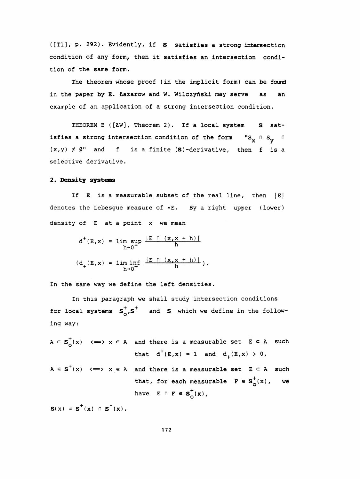([Tl], p. 292). Evidently, if S satisfies a strong intersection condition of any form, then it satisfies an intersection condi tion of the same form.

 The theorem whose proof (in the implicit form) can be found in the paper by E. Łazarow and W. Wilczyński may serve as an example of an application of a strong intersection condition.

THEOREM B ([ŁW], Theorem 2). If a local system S satisfies a strong intersection condition of the form  ${}$  "S<sub>X</sub> n S<sub>Y</sub> n  $(x,y) \neq \emptyset$ " and f is a finite (S)-derivative, then f is a selective derivative.

### 2. Density systems

If  $E$  is a measurable subset of the real line, then  $|E|$ denotes the Lebesgue measure of .E. By a right upper (lower) density of E at a point x we mean

$$
d^{+}(E, x) = \lim_{h \to 0^{+}} \sup_{h \to 0^{+}} \frac{|E \cap (x, x+h)|}{h}
$$
  
(d<sub>+</sub>(E, x) =  $\lim_{h \to 0^{+}} \frac{|E \cap (x, x+h)|}{h}$ ).

In the same way we define the left densities.

 In this paragraph we shall study intersection conditions for local systems  $s^+_{0}$ ,  $s^+$  and S which we define in the following way:

- $A \in S_{\Omega}^{+}(x)$  <  $\Longrightarrow x \in A$  and there is a measurable set  $E \subset A$  such that  $d^+(E,x) = 1$  and  $d_+(E,x) > 0$ ,
- $A \in S^+(x) \iff x \in A$  and there is a measurable set  $E \subset A$  such that, for each measurable  $F \in S_0^+(x)$ , we have  $E \cap F \in S^+_{\Omega}(x)$ ,

 $S(x) = S^{+}(x) \cap S^{-}(x)$ .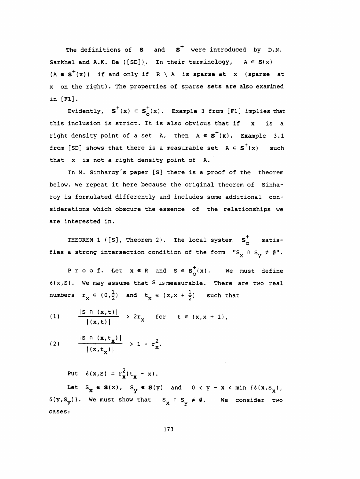The definitions of  $S$  and  $S^+$  were introduced by D.N. Sarkhel and A.K. De ([SD]). In their terminology,  $A \in S(x)$  $(A \in S^+(x))$  if and only if  $R \setminus A$  is sparse at x (sparse at X on the right). The properties of sparse sets are also examined in [Fl].

Evidently,  $S^+(x) \subset S^+_0(x)$ . Example 3 from [F1] implies that this inclusion is strict. It is also obvious that if  $x$  is a right density point of a set A, then  $A \in S^+(x)$ . Example 3.1 from [SD] shows that there is a measurable set  $A \in S^+(x)$  such that x is not a right density point of A.

 In M. Sinharoy's paper [S] there is a proof of the theorem below. We repeat it here because the original theorem of Sinha roy is formulated differently and includes some additional con siderations which obscure the essence of the relationships we are interested in.

THEOREM 1 ([S], Theorem 2). The local system  $s^+$  satisfies a strong intersection condition of the form  $"S_{\textbf{X}} \, \cap \, S_{\textbf{Y}} \neq \emptyset"$ .

P r o o f. Let  $x \in R$  and  $S \in S^+_{\Omega}(x)$ . We must define  $\delta(x, S)$ . We may assume that S is measurable. There are two real numbers  $r_x \in (0,\frac{1}{2})$  and  $t_x \in (x,x + \frac{1}{2})$  such that

(1) 
$$
\frac{|S \cap (x,t)|}{|(x,t)|} > 2r_x \text{ for } t \in (x,x+1),
$$

(2) 
$$
\frac{|S \cap (x, t_x)|}{|(x, t_x)|} > 1 - r_x^2
$$

Put  $\delta(x, S) = r_x^2(t_x - x)$ .  $\delta(y, S_y)$ . We must show that  $S_x \cap S_y \neq \emptyset$ . We consider two Let  $S_{\mathbf{x}} \in \mathbf{S}(x)$ ,  $S_{\mathbf{y}} \in \mathbf{S}(y)$  and  $0 < y - x < \min \{\delta(x, S_{\mathbf{x}})\}$ ,  $(x,t_x)$  |  $-x$ <br>  $(x, S) = r_x^2(t_x - x)$ .<br>  $x \in S(x)$ ,  $S_y \in S(y)$  and  $0 < y - x < \min \{\delta(x, S_x) \}$ <br>
We must show that  $S_x \cap S_y \neq \emptyset$ . We consider t Let  $S_x \in S(x)$ ,  $S_y \in S(y)$  and<br>y)}. We must show that  $S_x \cap S_y$ <br>: cases :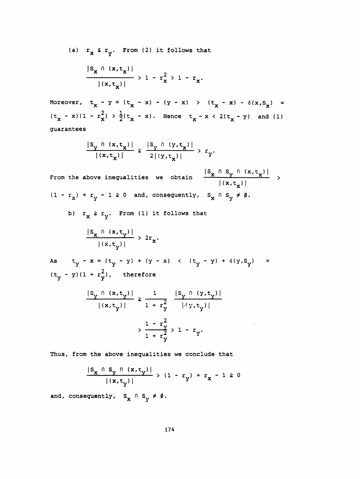(a)  $r_x \le r_y$ . From (2) it follows that

$$
\frac{|S_{x} \cap (x,t_{x})|}{|(x,t_{x})|} > 1 - r_{x}^{2} > 1 - r_{x}.
$$

Moreover,  $t_x - y = (t_x - x) - (y - x) > (t_x - x) - \delta(x, s_x) =$  $(t_{x} - x)(1 - r_{x}^{2}) > \frac{1}{2}(t_{x} - x)$ . Hence  $t_{x} - x < 2(t_{x} - y)$  and (1) guarantees

$$
\frac{|S_{y} \cap (x,t_{x})|}{|(x,t_{x})|} \geq \frac{|S_{y} \cap (y,t_{x})|}{2|(y,t_{x})|} > r_{y}.
$$

From the above inequalities we obtain  $\frac{|S_x \cap S_y \cap (x,t_x)|}{|(x + t)^{n+1}|}$  $\frac{\log_{\gamma} \left( (x,t_{x}) \right)}{|(x,t_{x})|}$  ><br> $\log_{\gamma} \neq \emptyset.$  $(1 - r_x) + r_y - 1 \ge 0$  and, consequently,  $S_x \cap S_y \neq \emptyset$ . he above inequalities we obtain  $\frac{|\mathbf{S_X}||\mathbf{S_Y}}{|\mathbf{x}|}$ <br>x<sup>)</sup> + r<sub>y</sub> - 1 ≥ 0 and, consequently, s<sub>x</sub> 0 s<sub>y</sub> b)  $r_x \ge r_y$ . From (1) it follows that  $\frac{|S_x \cap (x,t_y)|}{|(x,t)|} > 2r_x.$ 

As  $t_y - x = (t_y - y) + (y - x)$  <  $(t_y - y) + \delta(y, s_y) =$  $(t_y - y) (1 + r_y^2)$ , therefore

$$
\frac{|s_y \cap (x, t_y)|}{|(x, t_y)|} \ge \frac{1}{1 + r_y^2} \frac{|s_y \cap (y, t_y)|}{|\langle y, t_y \rangle|}
$$

$$
\Rightarrow \frac{1 - r_y^2}{1 + r_y^2} > 1 - r_y.
$$

Thus, from the above inequalities we conclude that

$$
\frac{|s_x \cap s_y \cap (x, t_y)|}{|(x, t_y)|} > (1 - r_y) + r_x - 1 \ge 0
$$

and, consequently,  $S_{\mathbf{x}} \cap S_{\mathbf{y}} \neq \emptyset$ .

 $\mathbf{y}$ ,  $\mathbf{y}$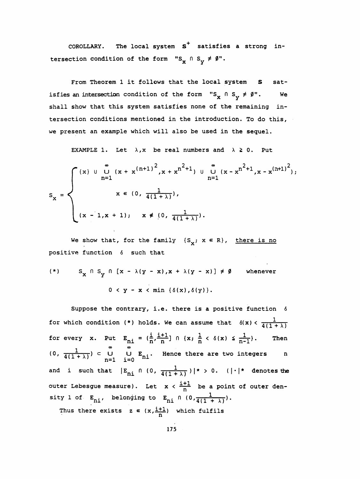COROLLARY. The local system  $s^+$  satisfies a strong intersection condition of the form "S<sub>x</sub>  $\cap$  S<sub>y</sub>  $\neq$   $\emptyset$ ".

From Theorem 1 it follows that the local system S satisfies an intersection condition of the form "S<sub>X</sub>  $\cap$  S<sub>Y</sub>  $\neq$   $\emptyset$ ". We shall show that this system satisfies none of the remaining in tersection conditions mentioned in the introduction. To do this, we present an example which will also be used in the sequel.

EXAMPLE 1. Let  $\lambda$ , x be real numbers and  $\lambda \geq 0$ . Put

EXAMPLE 1. Let 
$$
\lambda
$$
, x be real numbers and  $\lambda \ge 0$ . Put  
\n
$$
S_x = \begin{cases}\n(x) & \text{if } (x + x^{(n+1)})^2, x + x^{n^2+1} & \text{if } (x - x^{n^2+1}, x - x^{(n+1)^2}), \\
x \in (0, \frac{1}{4(1+\lambda)}), \\
(x - 1, x + 1); & x \notin (0, \frac{1}{4(1+\lambda)}).\n\end{cases}
$$
\nWe show that, for the family  $\{S_x; x \in R\}$ , there is no positive function  $\delta$  such that

positive function 6 such that

$$
(*) \qquad S_x \cap S_y \cap [x - \lambda(y - x), x + \lambda(y - x)] \neq \emptyset \qquad \text{whenever}
$$

$$
0 < y - x < \min \{\delta(x), \delta(y)\}.
$$

Suppose the contrary, i.e. there is a positive function 6 for which condition (\*) holds. We can assume that  $\delta(x) < \frac{1}{4(1+\lambda)}$ for every x. Put  $E_{ni} = (\frac{i}{n}, \frac{i+1}{n}] \cap \{x : \frac{1}{n} < \delta(x) \leq \frac{1}{n-1}\}.$  Then (0,  $\frac{1}{4(1+\lambda)}$ )  $\subset$  U U E<sub>ni</sub>. Hence there are two integers n n and i such that  $|E_{ni} \cap (0, \frac{1}{4(1+\lambda)})|^* > 0$ .  $(| \cdot |^*$  denotes the outer Lebesgue measure). Let  $x < \frac{i+1}{n}$  be a point of outer density 1 of  $E_{ni}$ , belonging to  $E_{ni}$  n  $(0, \frac{1}{4(1 + \lambda)})$ . Thus there exists  $z \in (x, \frac{1+1}{n})$  which fulfils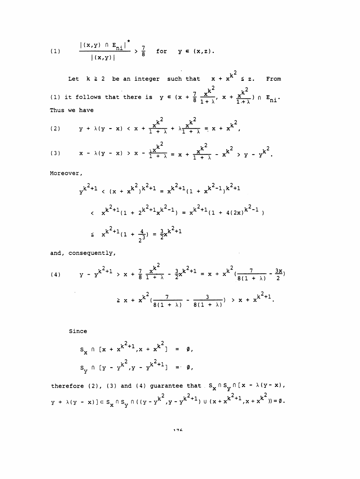(1) 
$$
\frac{|(x,y) \cap E_{n\perp}|^*}{|(x,y)|} > \frac{7}{8} \text{ for } y \in (x,z).
$$

Let  $k \ge 2$  be an integer such that  $x + x^{k^2} \le z$ . From (1) it follows that there is  $y \in (x + \frac{7}{8} \frac{x^{k^2}}{1 + \lambda}, x + \frac{x^{k^2}}{1 + \lambda}) \cap E_{ni}$ . Thus we have

(2) 
$$
y + \lambda(y - x) < x + \frac{x^{k^2}}{1 + \lambda} + \lambda \frac{x^{k^2}}{1 + \lambda} = x + x^{k^2},
$$

(3) 
$$
x - \lambda(y - x) > x - \frac{\lambda x^{k^2}}{1 + \lambda} = x + \frac{x^{k^2}}{1 + \lambda} - x^{k^2} > y - y^{k^2}
$$
.

Moreover,

$$
y^{k^{2}+1} \leftarrow (x + x^{k^{2}})^{k^{2}+1} = x^{k^{2}+1}(1 + x^{k^{2}-1})^{k^{2}+1}
$$
\n
$$
\leftarrow x^{k^{2}+1}(1 + z^{k^{2}+1}x^{k^{2}-1}) = x^{k^{2}+1}(1 + 4(2x)^{k^{2}-1})
$$
\n
$$
\leftarrow x^{k^{2}+1}(1 + \frac{4}{2^{3}}) = \frac{3}{2}x^{k^{2}+1}
$$

and, consequently,

(4) 
$$
y - y^{k^{2}+1} > x + \frac{7}{8} \frac{x^{k^{2}}}{1 + \lambda} - \frac{3}{2} x^{k^{2}+1} = x + x^{k^{2}} \left( \frac{7}{8(1 + \lambda)} - \frac{3x}{2} \right)
$$

$$
\geq x + x^{k^{2}} \left( \frac{7}{8(1 + \lambda)} - \frac{3}{8(1 + \lambda)} \right) > x + x^{k^{2}+1}.
$$

Since

$$
s_x \cap [x + x^{k^2+1}, x + x^{k^2}] = \emptyset,
$$
  

$$
s_y \cap [y - y^{k^2}, y - y^{k^2+1}] = \emptyset,
$$

therefore (2), (3) and (4) guarantee that  $S_x \cap S_y \cap [x - \lambda (y - x)]$ ,  $\mathtt{y}\ +\ \lambda (\mathtt{y}\ -\ \mathtt{x})\ ] \subset \mathtt{S}_{\mathtt{x}}\cap \mathtt{S}_{\mathtt{y}}\cap \big(\,(\mathtt{y}\ -\mathtt{y}^{\mathtt{k}^{\,2}},\mathtt{y}\ -\mathtt{y}^{\mathtt{k}^{\,2}+1}\big)\ \cup\ (\mathtt{x}\ +\mathtt{x}^{\mathtt{k}^{\,2}+1},\mathtt{x}\ +\mathtt{x}^{\mathtt{k}^{\,2}}\big)\big) = \emptyset\,.$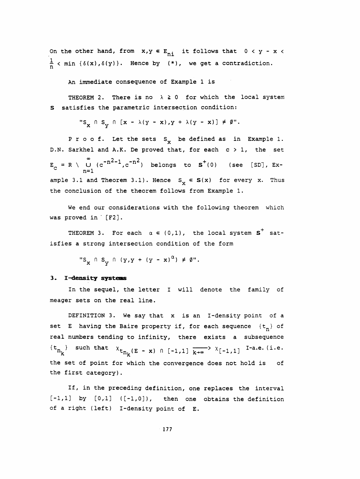On the other hand, from  $x,y \in E_{ni}$  it follows that  $0 < y - x <$  $\frac{1}{n}$  < min { $\delta(x)$ , $\delta(y)$ }. Hence by (\*), we get a contradiction.

An immediate consequence of Example 1 is

THEOREM 2. There is no  $\lambda \ge 0$  for which the local system S satisfies the parametric intersection condition:

"S<sub>x</sub>  $\cap$  S<sub>y</sub>  $\cap$  [x -  $\lambda$ (y - x), y +  $\lambda$ (y - x)]  $\neq$   $\emptyset$ ".

P r o o f. Let the sets  $S_{x}$  be defined as in Example 1. D.N. Sarkhel and A.K. De proved that, for each c > 1, the set  $E_C = R \setminus U$  (c<sup>-n2-1</sup>,c<sup>-n2</sup>) belongs to  $S^+(0)$  (see [SD], Ex-<br> $E_C = R \setminus U$  (c<sup>-n2-1</sup>,c<sup>-n2</sup>) belongs to  $S^+(0)$  (see [SD], Example 3.1 and Theorem 3.1). Hence  $S_x \in S(x)$  for every x. Thus the conclusion of the theorem follows from Example 1.

 We end our considerations with the following theorem which was proved in [F2].

THEOREM 3. For each  $\alpha \in (0,1)$ , the local system  $S^+$  satisfies a strong intersection condition of the form

"S<sub>x</sub>  $\cap$  S<sub>y</sub>  $\cap$  (y,y + (y - x)<sup>a</sup>)  $\neq$  g".

## 3. I-density systems

 In the sequel, the letter I will denote the family of meager sets on the real line.

 DEFINITION 3. We say that x is an I-density point of a set E having the Baire property if, for each sequence  $\{t_n\}$  of real numbers tending to infinity, there exists a subsequence  $\{t_{n_k}\}$  such that  $x_{t_{n_k}(E - x) \cap [-1,1]}$   $\overrightarrow{k_{+^{\infty}}}$   $x_{[-1,1]}$  I-a.e. (i.e. the set of point for which the convergence does not hold is of the first category) .

 If, in the preceding definition, one replaces the interval  $[-1,1]$  by  $[0,1]$   $([-1,0])$ , then one obtains the definition of a right (left) I-density point of E.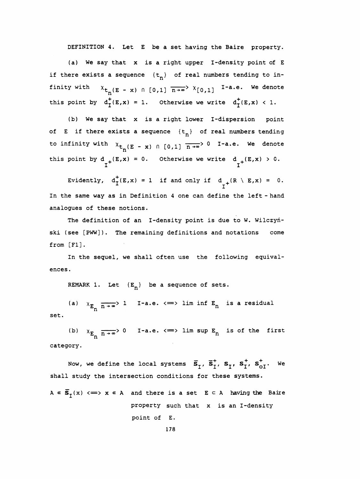DEFINITION 4. Let E be a set having the Baire property.

 (a) We say that x is a right upper I-density point of E if there exists a sequence  $\{t_n\}$  of real numbers tending to infinity with  $x_{t_n}(E - x) \cap [0,1] \overline{n+a}$   $x_{[0,1]}$  I-a.e. We denote this point by  $d^+_I(E,x) = 1$ . Otherwise we write  $d^+_I(E,x) < 1$ .

 (b) We say that x is a right lower I-dispersion point of E if there exists a sequence  $\{t_n\}$  of real numbers tending to infinity with  $x_{t_n}(E - x) \cap [0,1]$   $\overline{n \rightarrow \infty}$  0 I-a.e. We denote this point by  $d_{+}(E,x) = 0$ . Otherwise we write  $d_{+}(E,x) > 0$ . point by  $d_T^+(E,x) = 1$ . Otherwise we write  $d_T^+(E,x) < 1$ .<br>
(b) We say that x is a right lower I-dispersion point<br>
if there exists a sequence  $\{t_n\}$  of real numbers tending<br>
finity with  $x_{t_n}(E - x) \cap [0,1] \overline{n+x} > 0$  I-a.e. W

 In the same way as in Definition 4 one can define the left - hand analogues of these notions.

 The definition of an I-density point is due to W. Wilczyń ski (see [PWW]). The remaining definitions and notations come from [Fl] .

 In the sequel, we shall often use the following equival ences.

REMARK 1. Let  ${E_n}$  be a sequence of sets.

(a)  $X_{E_n}$   $\overline{n \rightarrow \infty}$  i I-a.e.  $\Longleftrightarrow$  lim inf  $E_n$ set.

(b)  $\chi_{E_n}$   $\overline{n \rightarrow \infty}$ > 0 I-a.e.  $\iff$  lim sup  $E_n$ category.

 shall study the intersection conditions for these systems. REMARK 1. Let  $(E_n)$  be a sequence of sets.<br>
(a)  $x_{E_n} \frac{1}{n + \infty}$  1 I-a.e.  $\iff$  lim inf  $E_n$  is a residual<br>
(b)  $x_{E_n} \frac{1}{n + \infty}$  0 I-a.e.  $\iff$  lim sup  $E_n$  is of the first<br>
ory.<br>
Now, we define the local systems  $\overline{s}_$ 

 $A \in \overline{S}_I(x) \iff x \in A$  and there is a set  $E \subset A$  having the Baire property such that x is an I-density point of E.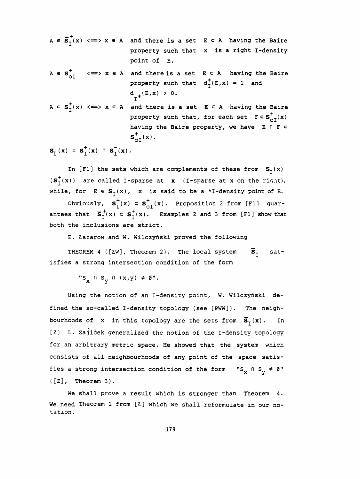$$
A \in \overline{S}_I^+(x) \iff x \in A
$$
 and there is a set  $E \subset A$  having the Baire  
property such that x is a right I-density  
point of E.  

$$
A \in S_{\text{OI}}^+ \iff x \in A
$$
 and there is a set  $E \subset A$  having the Baire  
property such that  $d_I^+(E,x) = 1$  and  
 $d_I^+(E,x) > 0$ .  

$$
A \in S_I^+(x) \iff x \in A
$$
 and there is a set  $E \subset A$  having the Baire  
property such that, for each set  $F \in S_{\text{OI}}^+(x)$   
having the Baire property, we have  $E \cap F \in S_{\text{OI}}^+(x)$ .

 $S_T(x) = S_T^+(x) \cap S_T^-(x)$ .

In [F1] the sets which are complements of these from  $S_{T}(x)$  $(s_I^+(x))$  are called I-sparse at x (I-sparse at x on the right), while, for  $E \in S_f(x)$ , x is said to be a \*I-density point of E.

Obviously,  $s^+_{I}(x) \subset s^+_{0I}(x)$ . Proposition 2 from [Fl] guarantees that  $\overline{S}_{T}^{+}(x) \subset S_{T}^{+}(x)$ . Examples 2 and 3 from [F1] show that both the inclusions are strict.

E. Lazarów and W. Wilczyński proved the following

THEOREM 4 ([ŁW], Theorem 2). The local system  $\overline{S}_{T}$  satisfies a strong intersection condition of the form

"S<sub>x</sub>  $\cap$  S<sub>y</sub>  $\cap$  (x,y)  $\neq$  Ø".

 Using the notion of an I-density point, W. Wilczyński de fined the so-called I-density topology (see [PWW]). The neighbourhoods of x in this topology are the sets from  $\overline{S}_{\tau}(x)$ . In [Z] L. Zajiček generalized the notion of the I-density topology for an arbitrary metric space. He showed that the system which consists of all neighbourhoods of any point of the space satis fies a strong intersection condition of the form  ${}$  "S<sub>X</sub>  $\cap$  S<sub>Y</sub>  $\neq$   $\emptyset$ "  $([2],$  Theorem 3).

 We shall prove a result which is stronger than Theorem 4. We need Theorem 1 from [Ł] which we shall reformulate in our notation.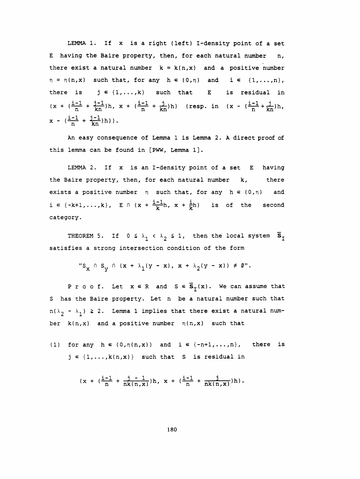LEMMA 1. If x is a right (left) I-density point of a set E having the Baire property, then, for each natural number n, there exist a natural number  $k = k(n, x)$  and a positive number  $\eta = \eta(n,x)$  such that, for any  $h \in (0,\eta)$  and  $i \in \{1,\ldots,n\}$ , there is  $j \in \{1, ..., k\}$  such that E is residual in  $(x + (\frac{i-1}{n} + \frac{j-1}{kn})h, x + (\frac{i-1}{n} + \frac{j}{kn})h)$  (resp. in  $(x - (\frac{i-1}{n} + \frac{j}{kn})h,$  $x - (\frac{i-1}{n} + \frac{j-1}{kn})h)$ .

 An easy consequence of Lemma 1 is Lemma 2. A direct proof of this lemma can be found in [PWW, Lemma 1].

LEMMA 2. If x is an I-density point of a set E having the Baire property, then, for each natural number k, there exists a positive number  $\eta$  such that, for any  $h \in (0, \eta)$  and  $i \in \{-k+1, \ldots, k\},$   $E \cap (x + \frac{i-1}{k}h, x + \frac{i}{k}h)$  is of the second category.

THEOREM 5. If  $0 \leq \lambda_1 < \lambda_2 \leq 1$ , then the local system  $\bar{s}_I$ satisfies a strong intersection condition of the form

$$
"S_x \cap S_y \cap (x + \lambda_1(y - x), x + \lambda_2(y - x)) \neq \emptyset".
$$

P r o o f. Let  $x \in R$  and  $S \in \overline{S}_{\tau}(x)$ . We can assume that S has the Baire property. Let n be a natural number such that  $n(\lambda_2 - \lambda_1) \geq 2$ . Lemma 1 implies that there exist a natural number  $k(n,x)$  and a positive number  $n(n,x)$  such that

(1) for any  $h \in (0,\eta(n,x))$  and  $i \in \{-n+1,\ldots,n\}$ , there is  $j \in \{1,\ldots,k(n,x)\}$  such that S is residual in

$$
(x + (\frac{i-1}{n} + \frac{j-1}{nk(n,x)})h, x + (\frac{i-1}{n} + \frac{j}{nk(n,x)})h).
$$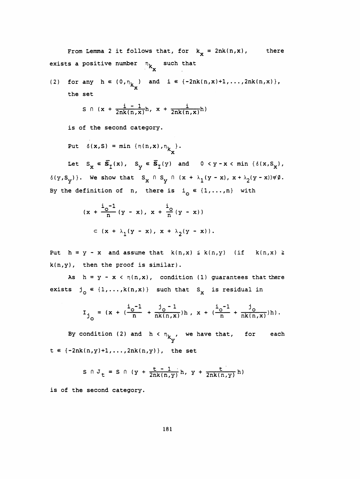From Lemma 2 it follows that, for  $k_x = 2nk(n,x)$ , there exists a positive number  $n_k$  such that

(2) for any 
$$
h \in (0, \eta_{k_x})
$$
 and  $i \in \{-2nk(n, x)+1, ..., 2nk(n, x)\},$   
the set

$$
S \cap (x + \frac{i - 1}{2nk(n,x)}h, x + \frac{i}{2nk(n,x)}h)
$$

is of the second category.

Put  $\delta(x, S) = min \{n(n, x), n_{k_x}\}.$ 

 $\mathbf{x} = \mathbf{y} \cdot \mathbf{y}$  ,  $\mathbf{y} = \mathbf{y} \cdot \mathbf{y}$  $\{(y, S_y)\}\$ . We show that  $S_x \cap S_y \cap (x + \lambda_1 (y - x), x + \lambda_2 (y - x))\neq \emptyset$ . Let  $S_x \in \overline{S}_I(x)$ ,  $S_y \in \overline{S}_I(y)$  and  $0 < y - x < \min$ <br>  $y$ )}. We show that  $S_x \cap S_y \cap (x + \lambda_1(y - x), x + \lambda_2)$ <br>
e definition of n, there is i  $\in \{1, ..., n\}$  with By the definition of n, there is  $i_0 \in \{1, ..., n\}$  with

$$
(x + \frac{i_{0} - 1}{n} (y - x), x + \frac{i_{0}}{n} (y - x))
$$
  

$$
\subset (x + \lambda_{1} (y - x), x + \lambda_{2} (y - x)).
$$

Put  $h = y - x$  and assume that  $k(n,x) \leq k(n,y)$  (if  $k(n,x) \geq$  $k(n,y)$ , then the proof is similar).

As  $h = y - x \leftarrow \eta(n,x)$ , condition (1) guarantees that there exists  $j_{\circ} \in \{1,\ldots,k(n,x)\}$  such that S<sub>x</sub> is residual in

$$
I_{j_0} = (x + (\frac{i_0 - 1}{n} + \frac{j_0 - 1}{nk(n, x)})h, x + (\frac{i_0 - 1}{n} + \frac{j_0}{nk(n, x)})h).
$$

By condition (2) and  $h < n_{k_{\tau\tau'}}$  we have that, for each y  $t \in \{-2nk(n,y)+1,...,2nk(n,y)\}\,$ , the set

$$
S \cap J_{t} = S \cap (y + \frac{t - 1}{2nk(n, y)} h, y + \frac{t}{2nk(n, y)} h)
$$

is of the second category.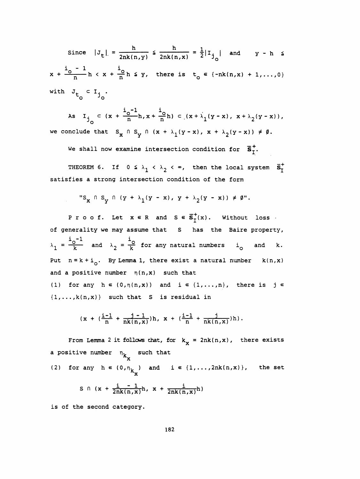Since  $|J_t| = \frac{h}{2nk(n,y)} \le \frac{h}{2nk(n,x)} = \frac{1}{2}|I_{j}|$  and  $y - h \le$  $x + \frac{i_{o} - 1}{n}h < x + \frac{i_{o}}{n}h \leq y$ , there is  $t_{o} \in \{-nk(n,x) + 1,...,0\}$ with  $J_t \n\subset I_j$ .

As  $I_{j} \subset (x + \frac{i_0 - 1}{n}h, x + \frac{i_0}{n}h) \subset (x + \lambda_1(y - x), x + \lambda_2(y - x)),$ we conclude that  $S_x \cap S_y \cap (x + \lambda_1(y - x), x + \lambda_2(y - x)) \neq \emptyset$ .

We shall now examine intersection condition for  $\overline{s}_{\tau}^{+}$ .

THEOREM 6. If  $0 \leq \lambda_1 < \lambda_2 < \infty$ , then the local system  $\bar{s}_1^+$ satisfies a strong intersection condition of the form

$$
"S_x \cap S_y \cap (y + \lambda_1(y - x), y + \lambda_2(y - x)) \neq \emptyset".
$$

P r o o f. Let  $x \in R$  and  $S \in \overline{S}_I^+(x)$ . Without loss of generality we may assume that S has the Baire property,  $\lambda_1 = \frac{i_0 - 1}{k}$  and  $\lambda_2 = \frac{i_0}{k}$  for any natural numbers  $i_0$  and k. Put  $n = k + i_0$ . By Lemma 1, there exist a natural number  $k(n, x)$ and a positive number  $\eta(n,x)$  such that (1) for any  $h \in (0, \eta(n, x))$  and  $i \in \{1, ..., n\}$ , there is  $j \in$  $\{1,\ldots,k(n,x)\}$  such that S is residual in

$$
(x + (\frac{i-1}{n} + \frac{j-1}{nk(n,x)})h, x + (\frac{i-1}{n} + \frac{j}{nk(n,x)})h).
$$

From Lemma 2 it follows that, for  $k_x = 2nk(n,x)$ , there exists a positive number  $n_{k_x}$  such that

(2) for any 
$$
h \in (0, n_{k_{\mathbf{x}}})
$$
 and  $i \in \{1, ..., 2nk(n, x)\}$ , the set  
\n $S \cap (x + \frac{i - 1}{2nk(n, x)}h, x + \frac{i}{2nk(n, x)}h)$ 

is of the second category.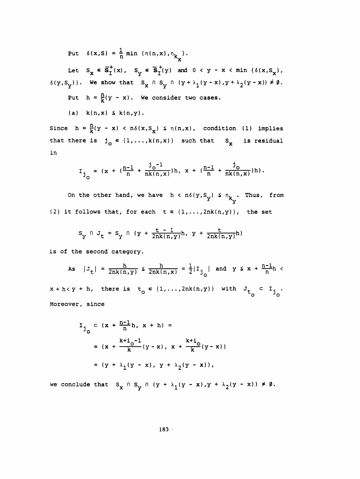Put  $\delta(x, S) = \frac{1}{n} \min \{ \eta(n, x), \eta_{k_v} \}.$ 

Let  $S_x \in \overline{S}_I^+(x)$ ,  $S_y \in \overline{S}_I^+(y)$  and  $0 < y - x < \min \{\delta(x, S_x),$  $\delta(y, S_y)$ . We show that  $S_x \cap S_y \cap (y + \lambda_1(y - x), y + \lambda_2(y - x)) \neq \emptyset$ . Put  $h = \frac{h}{k}(y - x)$ . We consider two cases.

(a)  $k(n,x) \leq k(n,y)$ .

Since  $h = \frac{h}{k}(y - x) < h\delta(x, s_x) \le \eta(n, x)$ , condition (1) implies that there is  $j_o \in \{1, ..., k(n, x)\}$  such that  $S_x$  is residual in

$$
I_{j_{\text{O}}} = (x + (\frac{n-1}{n} + \frac{j_{\text{O}}-1}{nk(n,x)})h, x + (\frac{n-1}{n} + \frac{j_{\text{O}}}{nk(n,x)})h).
$$

On the other hand, we have  $h < n \delta(y, S_y) \leq \eta_{k_y}$ . Thus, from (2) it follows that, for each  $t \in \{1, ..., 2nk(n,y)\}\$ , the set

$$
S_{y} \cap J_{t} = S_{y} \cap (y + \frac{t - 1}{2nk(n, y)}h, y + \frac{t}{2nk(n, y)}h)
$$

is of the second category.

As  $|J_t| = \frac{h}{2nk(n,y)} \le \frac{h}{2nk(n,x)} = \frac{1}{2}|I_{j}|\text{ and } y \le x + \frac{n-1}{n}h$  $x + h < y + h$ , there is  $t_0 \in \{1, ..., 2nk(n,y)\}$  with  $J_{t_0} \subset I_{j_0}$ .

Moreover, since

$$
I_{j_0} \subset (x + \frac{n-1}{n}h, x + h) =
$$
  
=  $(x + \frac{k+i_0-1}{k}(y-x), x + \frac{k+i_0}{k}(y-x))$   
=  $(y + \lambda_1(y-x), y + \lambda_2(y-x)),$ 

we conclude that  $S_x \cap S_y \cap (y + \lambda_1(y - x), y + \lambda_2(y - x)) \neq \emptyset$ .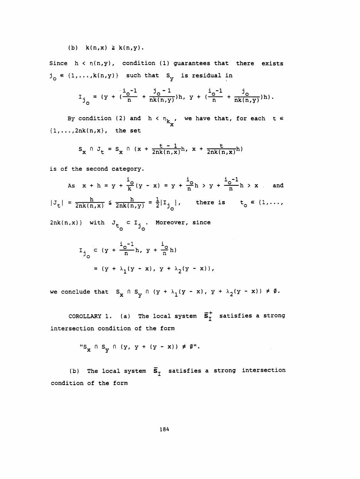# (b)  $k(n,x) \geq k(n,y)$ .

Since  $h \leftarrow \eta(n,y)$ , condition (1) guarantees that there exists  $j_{\circ} \in \{1,\ldots,k(n,y)\}$  such that S<sub>y</sub> is residual in

$$
I_{j_{\circ}} = (y + (\frac{i_{\circ} - 1}{n} + \frac{j_{\circ} - 1}{nk(n, y)})h, y + (\frac{i_{\circ} - 1}{n} + \frac{j_{\circ}}{nk(n, y)})h).
$$

By condition (2) and  $h < n_{k_\mathbf{X}^{\prime}}$ , we have that, for each tetrapoor  $h$  ${1, \ldots, 2nk(n,x)}$ , the set

$$
S_{x} \cap J_{t} = S_{x} \cap (x + \frac{t - 1}{2nk(n, x)}h, x + \frac{t}{2nk(n, x)}h)
$$

is of the second category.

is of the second category.  
\nAs 
$$
x + h = y + \frac{i_0}{k}(y - x) = y + \frac{i_0}{n}h > y + \frac{i_0 - 1}{n}h > x
$$
 and  
\n $|J_t| = \frac{h}{2nk(n,x)} \le \frac{h}{2nk(n,y)} = \frac{1}{2}|I_{j_0}|$ , there is  $t_0 \in \{1, ..., n\}$   
\n $2nk(n,x)$  with  $J_{t_0} \subset I_{j_0}$ . Moreover, since

$$
I_{j_0} = (y + \frac{i_0 - 1}{n}h, y + \frac{i_0}{n}h)
$$
  
=  $(y + \lambda_1(y - x), y + \lambda_2(y - x)),$ 

we conclude that  $S_x \cap S_y \cap (y + \lambda_1(y - x), y + \lambda_2(y - x)) \neq \emptyset$ .

COROLLARY 1. (a) The local system  $\overline{s}_I^+$  satisfies a strong intersection condition of the form

$$
"S_x \cap S_y \cap (y, y + (y - x)) \neq \emptyset".
$$

(b) The local system  $\overline{s}_I$  satisfies a strong intersection condition of the form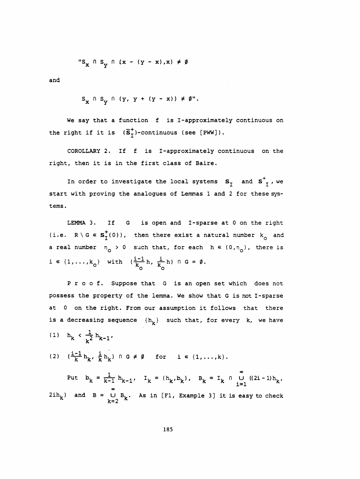$$
"S_x \cap S_y \cap (x - (y - x), x) \neq \emptyset
$$

and

$$
S_{\mathbf{X}} \cap S_{\mathbf{Y}} \cap (Y, Y + (Y - x)) \neq \emptyset''.
$$

We say that a function f is I-approximately continuous on the right if it is  $(\overline{s}_I^+)$ -continuous (see [PWW]).

 COROLLARY 2. If f is I -approximately continuous on the right, then it is in the first class of Baire.

In order to investigate the local systems  $s^-_1$  and  $s^+_{\tau}$ , we start with proving the analogues of Lemmas 1 and 2 for these sys tems.

 LEMMA 3. If G is open and I-sparse at 0 on the right (i.e.  $R \setminus G \in \mathbf{S}_{I}^{+}(0)$ ), then there exist a natural number  $k_{\text{o}}$  and a real number  $n_0 > 0$  such that, for each  $h \in (0, n_0)$ , there is i  $\in$  {1,...,k<sub>o</sub>} with  $(\frac{1}{k_0}h, \frac{1}{k_0}h)$  n G =  $\emptyset$ .

 Proof. Suppose that G is an open set which does not possess the property of the lemma. We show that G is not I-sparse at 0 on the right. From our assumption it follows that there is a decreasing sequence  $\{h_k\}$  such that, for every k, we have (1)  $h_k < \frac{1}{k^2}h_{k-1}$ 

(2)  $(\frac{i-1}{k}h_k, \frac{i}{k}h_k) \cap G \neq \emptyset$  for  $i \in \{1,\ldots,k\}.$ 

Put  $b_k = \frac{1}{k-1} h_{k-1}$ ,  $I_k = (h_k, b_k)$ ,  $B_k = I_k \cap U (2i-1)h_k$ ,  $2ih_k$ ) and B =  $\bigcup_{k=0}^{\infty} B_k$ . As in [F1, Example 3] it is easy to check  $k=2$  K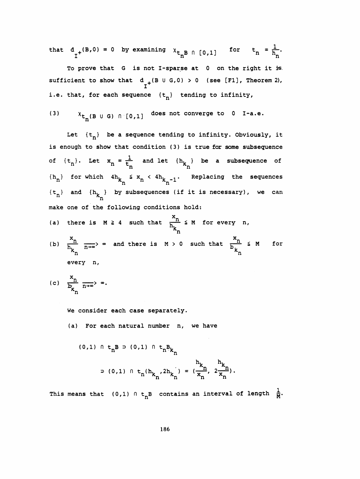that  $d_{1}^{(B,0)} = 0$  by examining  $x_{t_{n}B} \cap [0,1]$  for  $t_{n} = \frac{1}{h_{n}}$ .

To prove that G is not I-sparse at 0 on the right it is sufficient to show that  $d_{f}$  (B U G,0) > 0 (see [F1], Theorem 2), i.e. that, for each sequence  $\{t_n\}$  tending to infinity,

(3) 
$$
x_{t_n}(B \cup G) \cap [0,1]
$$
 does not converge to 0 I-a.e.

Let  $\{t_n\}$  be a sequence tending to infinity. Obviously, it is enough to show that condition (3) is true for some subsequence of  $\{t_n\}$ . Let  $x_n = \frac{1}{t_n}$  and let  $\{h_{k_n}\}$  be a subsequence of  $\{h_{\mathbf{n}}\}$  for which  $4h_{\mathbf{k}_{\mathbf{n}}}$  's  $x_{\mathbf{n}}$  <  $4h_{\mathbf{k}_{\mathbf{n}}-1}$ . Replacing the sequences  $n \leq x_n < 4h_{k_n}$ of  ${t_n}$ . Let  $x_n = \frac{1}{t_n}$  and let  ${h_k}$  be a subsequence of<br>  ${h_n}$  for which  $4h_k \le x_n < 4h_{k_n-1}$ . Replacing the sequences<br>  ${t_n}$  and  ${h_k}$  by subsequences (if it is necessary), we can<br>
make one of the following con make one of the following conditions hold:  $\{t_n\}$  and  $\{h_{k_n}\}$  by subsequences (if it is necessary), we can

(a) there is 
$$
M \ge 4
$$
 such that  $\frac{x_n}{h_k} \le M$  for every n,

make one of the following conditions hold:  
\n(a) there is 
$$
M \ge 4
$$
 such that  $\frac{x_n}{h_{k_n}} \le M$  for every n,  
\n(b)  $\frac{x_n}{h_{k_n}} \xrightarrow[n \to \infty]$  and there is  $M > 0$  such that  $\frac{x_n}{b_{k_n}} \le M$  for  
\nevery n,

(c) 
$$
\frac{x_n}{b_{k_n}} \xrightarrow[n \to \infty]{} \infty.
$$

We consider each case separately.

(a) For each natural number n, we have

(0,1) 
$$
n \, t_n B = (0,1) \, n \, t_n B_{k_n}
$$
  
  

$$
= (0,1) \, n \, t_n (h_{k_n}, 2h_{k_n}) = (\frac{h_{k_n}}{x_n}, \frac{h_{k_n}}{x_n}).
$$

This means that (0,1)  $n t_n^m k_n'^{2m} k_n' = \frac{1}{2} k_n' k_n'$ .<br>This means that (0,1)  $n t_n$ B contains an interval of length  $\frac{1}{M}$ .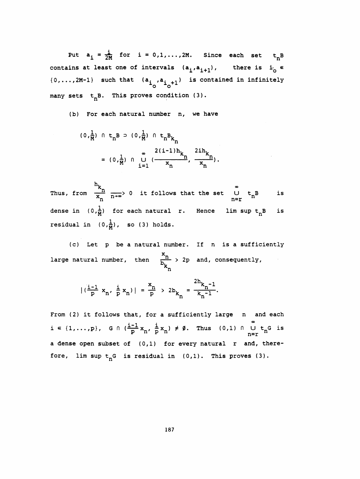Put  $a_i = \frac{i}{2M}$  for  $i = 0, 1, ..., 2M$ . Since each set  $t_n B$ contains at least one of intervals  $(a_i,a_{i+1})$ , there is  $i_0 \in$  ${0, \ldots, 2M-1}$  such that  $(a^i_{i^N}, a^i_{i^N+1})$  is contained in infinitely many sets  $t_nB$ . This proves condition (3).

(b) For each natural number n, we have

$$
(0, \frac{1}{M}) \cap t_{n}B \supset (0, \frac{1}{M}) \cap t_{n}B_{k_{n}}
$$
  
=  $(0, \frac{1}{M}) \cap U \left(\frac{2(i-1)h_{k_{n}}}{x_{n}}, \frac{2ih_{k_{n}}}{x_{n}}\right).$ 

 $\frac{k_n}{k_n}$   $\frac{k_n}{n+1}$  o it follows that the set  $\frac{1}{n+1}$   $\frac{1}{n}$  for each natural r. Hence  $\lim_{n \to \infty} \frac{1}{n}$  (0, $\frac{1}{n}$ ), so (3) holds.  $\frac{x_n}{x_n}$   $\frac{1}{n+x}$  o it follows that the s Thus, from  $\frac{m}{x}$   $\frac{1}{n+\infty}$ is dense in  $(0, \frac{1}{M})$  for each natural r. Hence lim sup  $t_n B$  is residual in  $(0, \frac{1}{M})$ , so (3) holds.

 (c) Let p be a natural number. If n is a sufficiently large natural number, then  $\frac{x_n}{b_n}$  > 2p and, consequently,  $\label{eq:2} \frac{1}{\sqrt{2}}\left(\frac{1}{\sqrt{2}}\right)^2\frac{1}{\sqrt{2}}\left(\frac{1}{\sqrt{2}}\right)^2.$  $\mathbf{F}_{n}$ 

$$
|(\frac{i-1}{p} x_n, \frac{i}{p} x_n)| = \frac{x_n}{p} > 2b_{k_n} = \frac{2h_{k_n-1}}{k_n^{-1}}.
$$

From (2) it follows that, for a sufficiently large n and each i ∈ {1,...,p}, G n ( $\frac{i-1}{p}$  x<sub>n</sub>,  $\frac{i}{p}$  x<sub>n</sub>) ≠ Ø. Thus (0,1) n U t<sub>n</sub>G is a dense open subset of (0,1) for every natural r and, there fore, lim sup  $t_nG$  is residual in  $(0,1)$ . This proves  $(3)$ .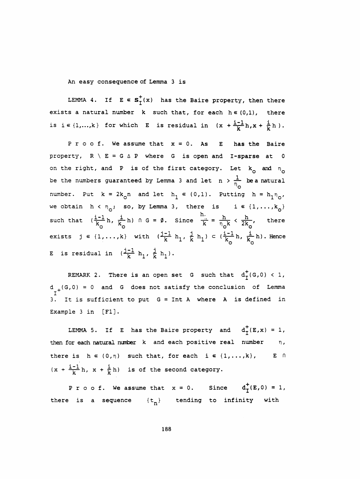An easy consequence of Lemma 3 is

LEMMA 4. If  $E \in s^+_T(x)$  has the Baire property, then there exists a natural number  $k$  such that, for each  $h \in (0,1)$ , there is  $i \in \{1,...,k\}$  for which E is residual in  $(x + \frac{i-1}{k}h, x + \frac{i}{k}h)$ .

Proof. We assume that  $x = 0$ . As E has the Baire property,  $R \setminus E = G \triangle P$  where G is open and I-sparse at 0 on the right, and P is of the first category. Let  $k_{\text{o}}$  and  $n_{\text{o}}$ be the numbers guaranteed by Lemma 3 and let  $n > \frac{1}{n_e}$  be a natural number. Put  $k = 2k_0 n$  and let  $h_1 \in (0,1)$ . Putting  $h = h_1 n_0$ , we obtain  $h \times n_0$ ; so, by Lemma 3, there is  $i \in \{1, ..., k_0\}$ such that  $(\frac{1-1}{k_0}h, \frac{1}{k_0}h)$   $\cap$  G =  $\emptyset$ . Since  $\frac{1}{k} = \frac{h}{n_0 k} < \frac{h}{2k_0}$ , there ( $\eta_o$ ; so, by Lemma 3, there is  $i \in \{\frac{1}{b}, \frac{i}{k}h\}$  of  $G = \emptyset$ . Since  $\frac{h}{k} = \frac{h}{\eta_0 k} < \frac{h}{2k_0}$ <br>(b) with  $(\frac{j-1}{b}, \frac{j}{b}) \in (\frac{i-1}{b}, \frac{j}{b})$ exists  $j \in \{1,\ldots,k\}$  with  $(\frac{j-1}{k}h_1, \frac{j}{k}h_1) \subset (\frac{j-1}{k_0}h, \frac{j}{k_0}h)$ . Hence E is residual in  $(\frac{j-1}{k} h_1, \frac{j}{k} h_1)$ .

REMARK 2. There is an open set G such that  $d^+(G,0) < 1$ , d <sub>+</sub>(G,0) = 0 and G does not satisfy the conclusion of Lemma<br>I It is sufficient to put  $G = Int A$  where A is defined in Example 3 in [Fl].

LEMMA 5. If E has the Baire property and  $d^+_{T}(E,x) = 1$ , then for each natural number  $k$  and each positive real number  $n$ , there is  $h \in (0, \eta)$  such that, for each  $i \in \{1, ..., k\}$ , E n  $(x + \frac{i-1}{k}h, x + \frac{i}{k}h)$  is of the second category.

P r o o f. We assume that  $x = 0$ . Since  $d^+_T(E,0) = 1$ , there is a sequence  $\{t_n\}$  tending to infinity with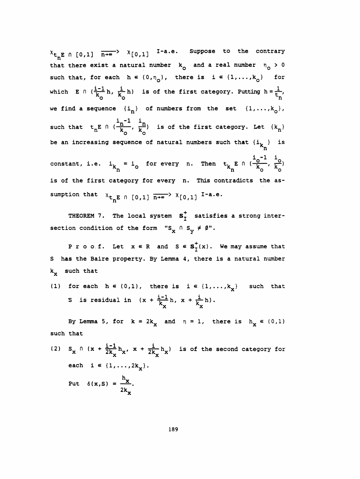$x_{t_nE}$  fi [0,1]  $\overline{n+e}$   $x_{[0,1]}$  I-a.e. Suppose to the contrary that there exist a natural number  $k_{\odot}$  and a real number  $n_{\odot} > 0$ such that, for each  $h \in (0, n_{\overline{Q}})$ , there is  $i \in \{1, ..., k_{\overline{Q}}\}$  for which E  $\cap$   $(\frac{1-1}{k_0}h, \frac{1}{k_0}h)$  is of the first category. Putting  $h = \frac{1}{k_0}$ , ist a natural number  $k_0$  and a real number  $n_0 >$ <br>  $k_0$  each  $h \in (0, n_0)$ , there is  $i \in \{1, ..., k_0\}$  fo<br>  $\frac{1}{k_0}h$ ,  $\frac{i}{k_0}h$  is of the first category. Putting  $h = \frac{1}{k_0}$ <br>  $k_0$ <br>  $h = \frac{1}{k_0}h$ ,  $\frac{i}{k_0}$  of nu we find a sequence  $\{i_n\}$  of numbers from the set  $\{1,\ldots,k_{\mathsf{Q}}\},$ such that  $t_n E \cap (\frac{i_n^{-1}}{k_o}, \frac{i_n}{k_o})$  is of the first category. Let  $\{k_n\}$ be an increasing sequence of natural numbers such that  $\{ {\tt i_k} \}$  is  $i_{0}$ -1 i constant, i.e.  $1_{k_n} = 1$  for every n. Then  $t_{k_n}$  E n ( $\frac{1}{k_0}$ ,  $\frac{1}{k_0}$ ) equence of natural numbers such that  $\{i_k\}$  i<br>= i<sub>o</sub> for every n. Then  $t_k E \cap (\frac{i_0^{-1}}{k_0}, \frac{i_0}{k_0})$ <br>n tegory for every n. This contradicts the as is of the first category for every n. This contradicts the as sumption that  $x_{t_nE}$  n [0,1]  $\overline{n+^{\infty}}$   $x_{[0,1]}$  I-a.e.

THEOREM 7. The local system  $s_T^+$  satisfies a strong intersection condition of the form "S<sub>x</sub>  $\cap$  S<sub>y</sub>  $\neq$  Ø".

P r o o f. Let  $x \in R$  and  $S \in S_T^+(x)$ . We may assume that S has the Baire property. By Lemma 4, there is a natural number k<sub>x</sub> such that

(1) for each  $h \in (0,1)$ , there is  $i \in \{1,\ldots,k_{\mathbf{y}}\}$  such that S is residual in  $(x + \frac{i-1}{k_x}h, x + \frac{i}{k_x}h).$ 

By Lemma 5, for  $k = 2k_x$  and  $n = 1$ , there is  $h_x \in (0,1)$ such that

(2)  $S_x \cap (x + \frac{i-1}{2k_y}h_x, x + \frac{i}{2k_y}h_x)$  is of the second category for each  $i \in \{1, ..., 2k_x\}.$ Put  $\delta(x, S) = \frac{h_x}{2k}$ .

-..x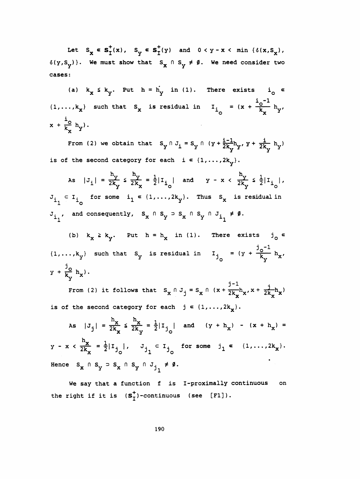Let  $S_x \in S_T^+(x)$ ,  $S_y \in S_T^+(y)$  and  $0 < y - x < \min \{\delta(x, S_x)$ ,  $\delta(y, S_y)$ . We must show that  $S_x \cap S_y \neq \emptyset$ . We need consider two cases:

(a)  $k_x \le k_y$ . Put  $h = h_y$  in (1). There exists  $i_0 \in$  $\{1,\ldots,k_{\mathbf{x}}\}\$  such that  $S_{\mathbf{x}}$  is residual in  $I_{\mathbf{i}_{\infty}} = (x + \frac{i_{\infty} - 1}{k_{\infty}})_{\mathbf{x}}$  $x + \frac{1}{k} h_v$ .

From (2) we obtain that  $S_y \cap J_i = S_y \cap (y + \frac{i-1}{2k_y}h_y, y + \frac{i}{2k_y}h_y)$ is of the second category for each  $i \in \{1, ..., 2k_v\}$ .

As  $|J_i| = \frac{h_y}{2k_y} \le \frac{h_y}{2k_x} = \frac{1}{2}|I_{i_0}|$  and  $y - x < \frac{h_y}{2k_y} \le \frac{1}{2}|I_{i_0}|$ ,  $J_i \subset I_i$  for some  $i_1 \in \{1, ..., 2k_y\}$ . Thus  $S_x$  is residual in  $J_{i_1}$ , and consequently,  $S_x \cap S_y \supset S_x \cap S_y \cap J_{i_1} \neq \emptyset$ .

(b)  $k_x \ge k_y$ . Put  $h = h_x$  in (1). There exists  $j_0 \in$  $\{1,\ldots,k_y\}$  such that  $S_y$  is residual in  $I_{j_0} = (y + \frac{J_0^{-1}}{k_0})h_{x'}$  $y + \frac{J_0}{k_x} h_x$ .

From (2) it follows that  $S_x \cap J_j = S_x \cap (x + \frac{J-1}{2k_x}h_x, x + \frac{j}{2k_x}h_x)$ is of the second category for each  $j \in \{1, ..., 2k_{x}\}\$ .

As 
$$
|J_j| = \frac{h_x}{2k_x} \le \frac{h_x}{2k_y} = \frac{1}{2} |I_{j_0}|
$$
 and  $(y + h_x) - (x + h_x) =$   
 $y - x < \frac{h_x}{2k_x} = \frac{1}{2} |I_{j_0}|$ ,  $J_{j_1} \subset I_{j_0}$  for some  $j_1 \in \{1, ..., 2k_x\}$ .  
Hence  $S_x \cap S_y \supset S_x \cap S_y \cap J_{j_1} \neq \emptyset$ .

We say that a function f is I-proximally continuous on the right if it is  $(s_7^+)$ -continuous (see [F1]).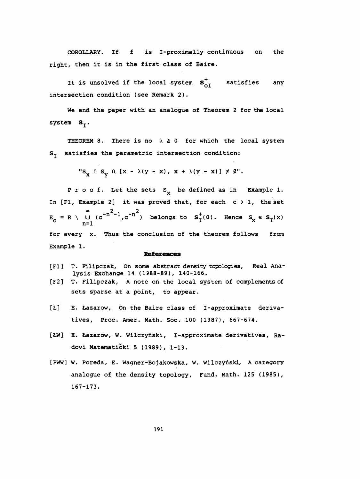COROLLARY. If f is I-proximally continuous on the right, then it is in the first class of Baire.

It is unsolved if the local system  $s_{\alpha T}^+$  satisfies any intersection condition (see Remark 2).

 We end the paper with an analogue of Theorem 2 for the local system  $S_{\tau}$ .

THEOREM 8. There is no  $\lambda \ge 0$  for which the local system  $S_{\tau}$  satisfies the parametric intersection condition:

$$
"S_x \cap S_y \cap [x - \lambda(y - x), x + \lambda(y - x)] \neq \emptyset".
$$

P r o o f. Let the sets  $S_{x}$  be defined as in Example 1. In [F1, Example 2] it was proved that, for each  $c > 1$ , the set ample 2 it was<br> $\frac{2}{n}$  -n<sup>2</sup>-1 -n<sup>2</sup> In [F1, Example 2] it was proved that, for each  $c > 1$ , the set<br>  $E_c = R \setminus \bigcup_{n=1}^{\infty} (c^{-n^2-1}, c^{-n^2})$  belongs to  $S_t^+(0)$ . Hence  $S_x \in S_t(x)$ <br>
for every x Thus the conclusion of the theorem follows from for every x. Thus the conclusion of the theorem follows from Example 1.

#### References

- [Fl] T. Filipczak, On some abstract density topologies, Real Ana lysis Exchange 14 (1988-89), 140-166.
- [F2] T. Filipczak, A note on the local system of complements of sets sparse at a point, to appear.
- [Ł] E. Łazarow, On the Baire class of I-approximate derivatives, Proc. Amer. Math. Soc. 100 (1987), 667-674.
- [ŁW] E. Łazarow, W. Wilczyński, I-approximate derivatives, Radovi Matematički 5 (1989), 1-13.
- [PWW] W. Poreda, E. Wagner-Bojakowska, W. Wilczyński, A category analogue of the density topology, Fund. Math. 125 (1985), 167-173.